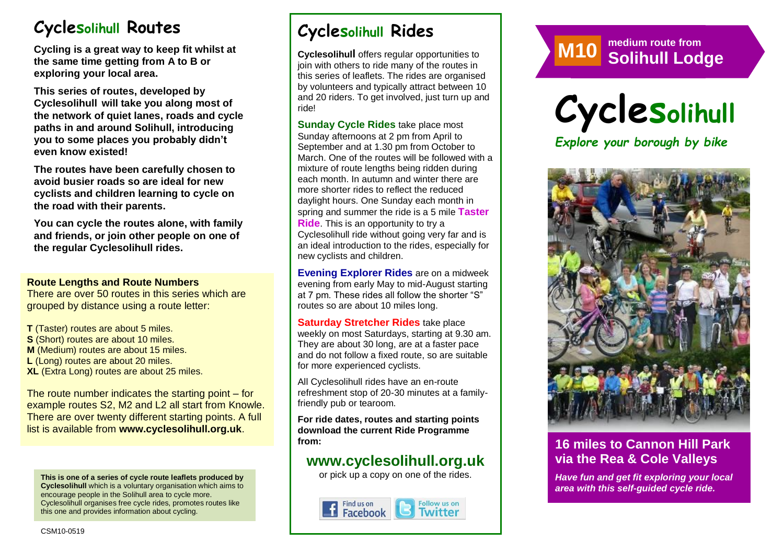# **Cyclesolihull Routes**

**Cycling is a great way to keep fit whilst at the same time getting from A to B or exploring your local area.** 

**This series of routes, developed by Cyclesolihull will take you along most of the network of quiet lanes, roads and cycle paths in and around Solihull, introducing you to some places you probably didn't even know existed!**

**The routes have been carefully chosen to avoid busier roads so are ideal for new cyclists and children learning to cycle on the road with their parents.** 

**You can cycle the routes alone, with family and friends, or join other people on one of the regular Cyclesolihull rides.**

#### **Route Lengths and Route Numbers**

There are over 50 routes in this series which are grouped by distance using a route letter:

**T** (Taster) routes are about 5 miles. **S** (Short) routes are about 10 miles. **M** (Medium) routes are about 15 miles. **L** (Long) routes are about 20 miles. **XL** (Extra Long) routes are about 25 miles.

The route number indicates the starting point – for example routes S2, M2 and L2 all start from Knowle. There are over twenty different starting points. A full list is available from **www.cyclesolihull.org.uk**.

**This is one of a series of cycle route leaflets produced by Cyclesolihull** which is a voluntary organisation which aims to encourage people in the Solihull area to cycle more. Cyclesolihull organises free cycle rides, promotes routes like this one and provides information about cycling.

# **Cyclesolihull Rides**

**Cyclesolihull** offers regular opportunities to join with others to ride many of the routes in this series of leaflets. The rides are organised by volunteers and typically attract between 10 and 20 riders. To get involved, just turn up and ride!

**Sunday Cycle Rides** take place most Sunday afternoons at 2 pm from April to September and at 1.30 pm from October to March. One of the routes will be followed with a mixture of route lengths being ridden during each month. In autumn and winter there are more shorter rides to reflect the reduced daylight hours. One Sunday each month in spring and summer the ride is a 5 mile **Taster Ride**. This is an opportunity to try a Cyclesolihull ride without going very far and is an ideal introduction to the rides, especially for new cyclists and children.

**Evening Explorer Rides** are on a midweek evening from early May to mid-August starting at 7 pm. These rides all follow the shorter "S" routes so are about 10 miles long.

**Saturday Stretcher Rides** take place weekly on most Saturdays, starting at 9.30 am. They are about 30 long, are at a faster pace and do not follow a fixed route, so are suitable for more experienced cyclists.

All Cyclesolihull rides have an en-route refreshment stop of 20-30 minutes at a familyfriendly pub or tearoom.

**For ride dates, routes and starting points download the current Ride Programme from:** 

## **www.cyclesolihull.org.uk**

or pick up a copy on one of the rides.







## **16 miles to Cannon Hill Park via the Rea & Cole Valleys**

*Have fun and get fit exploring your local area with this self-guided cycle ride.*